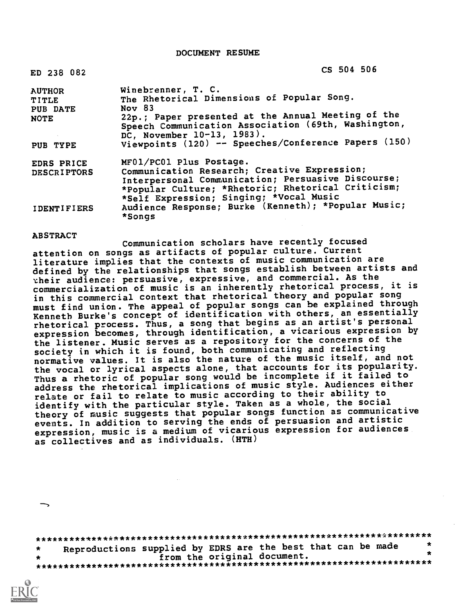DOCUMENT RESUME

| ED 238 082                       | CS 504 506                                                                                                                                          |
|----------------------------------|-----------------------------------------------------------------------------------------------------------------------------------------------------|
| <b>AUTHOR</b><br><b>TITLE</b>    | Winebrenner, T. C.<br>The Rhetorical Dimensions of Popular Song.                                                                                    |
| PUB DATE                         | Nov $83$                                                                                                                                            |
| <b>NOTE</b>                      | 22p.; Paper presented at the Annual Meeting of the<br>Speech Communication Association (69th, Washington,<br>DC, November 10-13, 1983).             |
| PUB TYPE                         | Viewpoints (120) -- Speeches/Conference Papers (150)                                                                                                |
| EDRS PRICE<br><b>DESCRIPTORS</b> | MF01/PC01 Plus Postage.<br>Communication Research; Creative Expression;                                                                             |
|                                  | Interpersonal Communication; Persuasive Discourse;<br>*Popular Culture; *Rhetoric; Rhetorical Criticism;<br>*Self Expression; Singing; *Vocal Music |
| <b>IDENTIFIERS</b>               | Audience Response; Burke (Kenneth); *Popular Music;<br>*Songs                                                                                       |

#### ABSTRACT

Communication scholars have recently focused attention on songs as artifacts of popular culture. Current literature implies that the contexts of music communication are defined by the relationships that songs establish between artists and their audience: persuasive, expressive, and commercial. As the commercialization of music is an inherently rhetorical process, it is in this commercial context that rhetorical theory and popular song must find union. The appeal of popular songs can be explained through Kenneth Burke's concept of identification with others, an essentially rhetorical process. Thus, a song that begins as an artist's personal expression becomes, through identification, a vicarious expression by the listener. Music serves as a repository for the concerns of the society in which it is found, both communicating and reflecting normative values. It is also the nature of the music itself, and not the vocal or lyrical aspects alone, that accounts for its popularity. Thus a rhetoric of popular song would be incomplete if it failed to address the rhetorical implications of music style. Audiences either relate or fail to relate to music according to their ability to identify with the particular style. Taken as a whole, the social theory of music suggests that popular songs function as communicative events. In addition to serving the ends of persuasion and artistic expression, music is a medium of vicarious expression for audiences as collectives and as individuals. (HTH)

\*\*\*\*\*\*\*\*\*\*\*\*\*\*\*\*\*\*\*\*\*\*\*\*\*\*\*\*\*\*\*\*\*\*\*\*\*\*\*\*\*\*\*\*\*\*\*\*\*\*\*\*\*\*\*\*\*\*\*\*\*\*\*\*\*\*\*\*\*\*\* \* Reproductions supplied by EDRS are the best that can be made \* \* from the original document. \* \*\*\*\*\*\*\*\*\*\*\*\*\*\*\*\*\*\*\*\*\*\*\*\*\*\*\*\*\*\*\*\*\*\*\*\*\*\*\*\*\*\*\*\*\*\*\*\*\*\*\*\*\*\*\*\*\*\*\*\*\*\*\*\*\*\*\*\*\*\*\*

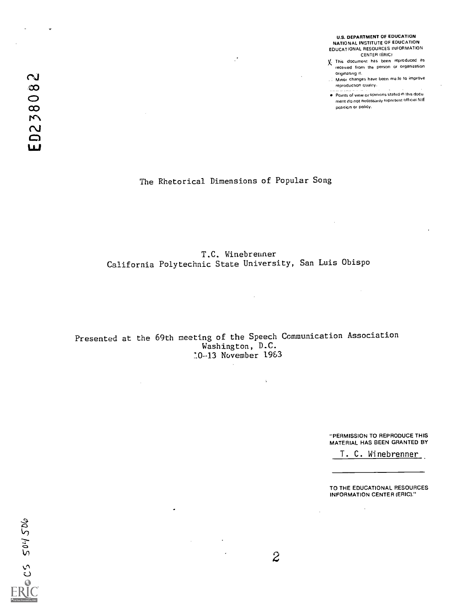#### U.S. DEPARTMENT OF EDUCATION NATIONAL INSTITUTE OF EDUCATION EDUCATIONAL RESOURCES INFORMATION CENTER (ERIC)

- X. This document has been reproduced as received from the person or organization originating it.
- Minor changes have been ma le to improve reproduction quality.
- Points of view or opinions stated in this docu ment do not necessarily represent official NIE position or policy.

 $\ddot{\phantom{1}}$ 

 $\sim$ 

 $\sim$  $\infty$  $\frac{8}{2}$  $\infty$  and  $\infty$  $\mathcal{L}$  $\Box$  $\mathbf{L}$ 

 $\cdot$ 

# The Rhetorical Dimensions of Popular Song

 $\mathcal{C}$ 

T.C. Winebrenner California Polytechnic State University, San Luis Obispo

 $\bar{z}$ 

 $\ddot{\Psi}$ 

Presented at the 69th meeting of the Speech Communication Association Washington, D.C. 7.013 November 1963

 $\cdot$ 

 $\sim 10^{-10}$ 

 $\cdot$  $\mathbf{r}$  "PERMISSION TO REPRODUCE THIS MATERIAL HAS BEEN GRANTED BY

T. C. Winebrenner

TO THE EDUCATIONAL RESOURCES INFORMATION CENTER (ERIC)."

 $\sim$ 

 $\hat{\mathcal{A}}$ 

© CS 504506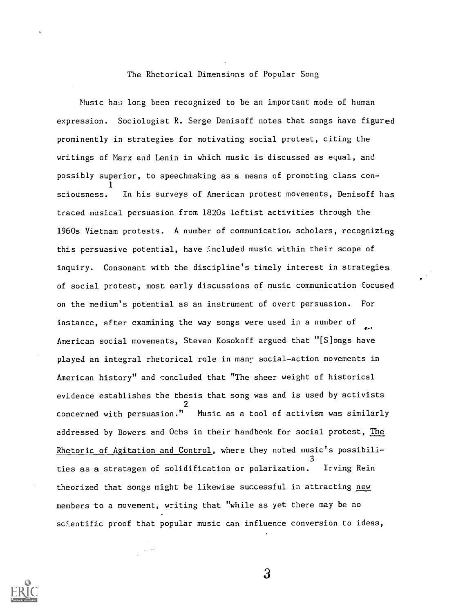## The Rhetorical Dimensions of Popular Song

Music has long been recognized to be an important mode of human expression. Sociologist R. Serge Denisoff notes that songs have figured prominently in strategies for motivating social protest, citing the writings of Marx and Lenin in which music is discussed as equal, and possibly superior, to speechmaking as a means of promoting class con-1 sciousness. In his surveys of American protest movements, Denisoff has traced musical persuasion from 1820s leftist activities through the 1960s Vietnam protests. A number of communication scholars, recognizing this persuasive potential, have included music within their scope of inquiry. Consonant with the discipline's timely interest in strategies of social protest, most early discussions of music communication focused on the medium's potential as an instrument of overt persuasion. For instance, after examining the way songs were used in a number of American social movements, Steven Kosokoff argued that "[S]ongs have played an integral rhetorical role in many social-action movements in American history" and concluded that "The sheer weight of historical evidence establishes the thesis that song was and is used by activists 2 concerned with persuasion." Music as a tool of activism was similarly addressed by Bowers and Ochs in their handbook for social protest, The Rhetoric of Agitation and Control, where they noted music's possibili-3 ties as a stratagem of solidification or polarization. Irving Rein theorized that songs might be likewise successful in attracting new members to a movement, writing that "while as yet there may be no scientific proof that popular music can influence conversion to ideas,

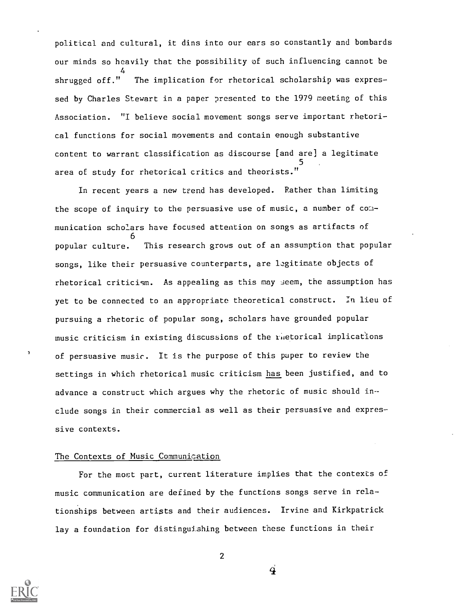political and cultural, it dins into our ears so constantly and bombards our minds so heavily that the possibility of such influencing cannot be 4 shrugged off." The implication for rhetorical scholarship was expressed by Charles Stewart in a paper presented to the 1979 meeting of this Association. "I believe social movement songs serve important rhetorical functions for social movements and contain enough substantive content to warrant classification as discourse [and are] a legitimate . ح area of study for rhetorical critics and theorists."

In recent years a new trend has developed. Rather than limiting the scope of inquiry to the persuasive use of music, a number of communication scholars have focused attention on songs as artifacts of 6 popular culture. This research grows out of an assumption that popular songs, like their persuasive counterparts, are legitimate objects of rhetorical criticism. As appealing as this may seem, the assumption has yet to be connected to an appropriate theoretical construct. In lieu of pursuing a rhetoric of popular song, scholars have grounded popular music criticism in existing discussions of the ruetorical implications of persuasive music. It is the purpose of this paper to review the settings in which rhetorical music criticism has been justified, and to advance a construct which argues why the rhetoric of music should include songs in their commercial as well as their persuasive and expressive contexts.

### The Contexts of Music Communication

For the most part, current literature implies that the contexts of music communication are defined by the functions songs serve in relationships between artists and their audiences. Irvine and Kirkpatrick lay a foundation for distinguishing between these functions in their



2

 $\overline{\mathbf{4}}$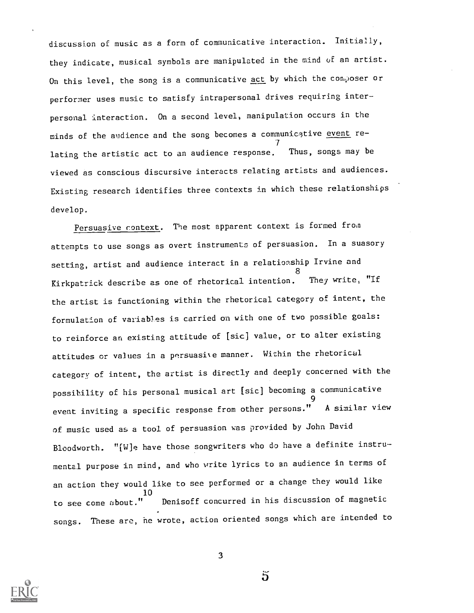discussion of music as a form of communicative interaction. Initially, they indicate, musical symbols are manipulated in the mind of an artist. On this level, the song is a communicative  $\frac{\text{act}}{\text{act}}$  by which the composer or performer uses music to satisfy intrapersonal drives requiring interpersonal interaction. On a second level, manipulation occurs in the minds of the audience and the song becomes a communicative event re- $\mathcal{T}$  and  $\mathcal{T}$ lating the artistic act to an audience response. Thus, songs may be viewed as conscious discursive interacts relating artists and audiences. Existing research identifies three contexts in which these relationships develop.

Persuasive context. The most apparent context is formed from attempts to use songs as overt instruments of persuasion. In a suasory setting, artist and audience interact in a relationship Irvine and They write, "If Kirkpatrick describe as one of rhetorical intention. the artist is functioning within the rhetorical category of intent, the formulation of variables is carried on with one of two possible goals: to reinforce an existing attitude of [sic] value, or to alter existing attitudes or values in a persuasive manner. Within the rhetorical category of intent, the artist is directly and deeply concerned with the possitility of his personal musical art [sic] becoming a communicative 9 event inviting a specific response from other persons." A similar view of music used as a tool of persuasion was provided by John David Bloodworth. "[W]e have those songwriters who do have a definite instrumental purpose in mind, and who vrite lyrics to an audience in terms of an action they would like to see performed or a change they would like 10 to see come about." Denisoff concurred in his discussion of magnetic songs. These are, he wrote, action oriented songs which are intended to



3

 $\ddot{\mathbf{d}}$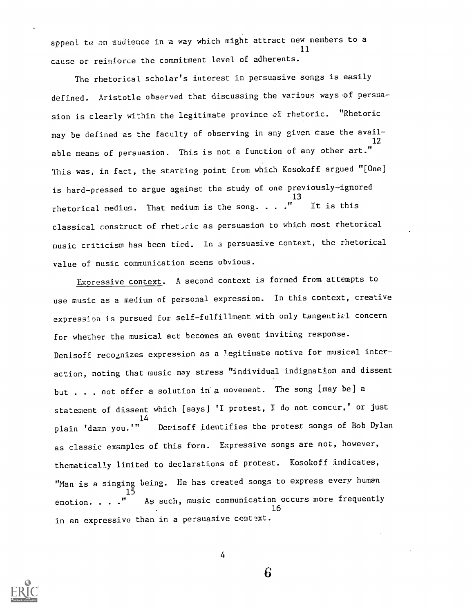appeal to an audience in a way which might attract new members to a 11 cause or reinforce the commitment level of adherents.

The rhetorical scholar's interest in persuasive songs is easily defined. Aristotle observed that discussing the various ways of persuasion is clearly within the legitimate province of rhetoric. "Rhetoric may be defined as the faculty of observing in any given case the avail-12 able means of persuasion. This is not a function of any other art." This was, in fact, the starting point from which Kosokoff argued "[One] is hard-pressed to argue against the study of one previously-ignored 13 rhetorical medium. That medium is the song. . .  $\cdot$  It is this classical construct of rhetoric as persuasion to which most rhetorical music criticism has been tied. In a persuasive context, the rhetorical value of music communication seems obvious.

Expressive context. A second context is formed from attempts to use music as a medium of personal expression. In this context, creative expression is pursued for self-fulfillment with only tangential concern for whether the musical act becomes an event inviting response. Denisoff recognizes expression as a legitimate motive for musical interaction, noting that music may stress "individual indignation and dissent but . . . not offer a solution in a movement. The song [may be] a statement of dissent which [says] 'I protest, I do not concur,' or just 14 plain 'damn you.'" Devisoff identifies the protest songs of Bob Dylan as classic examples of this form. Expressive songs are not, however, thematically limited to declarations of protest. Kosokoff indicates, "Man is a singing being. He has created songs to express every human 15 emotion. . . ." As such, music communication occurs more frequently 16 in an expressive than in a persuasive context.



4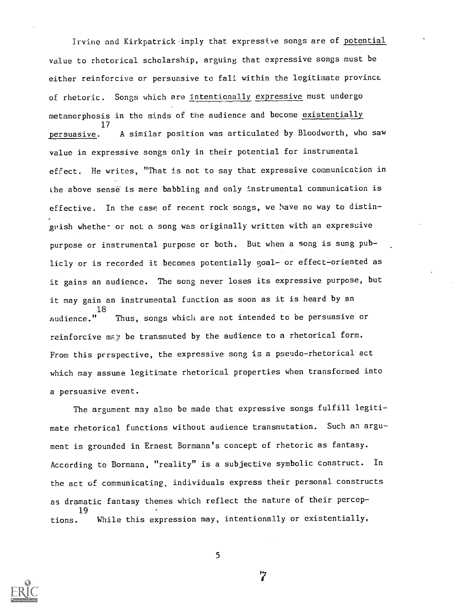Irvine and Kirkpatrick imply that expressive songs are of potential value to rhetorical scholarship, arguing that expressive songs must be either reinfercive or persuasive to fall within the legitimate province of rhetoric. Songs which are intentionally expressive must undergo metamorphosis in the minds of the audience and become existentially 17 persuasive. A similar position was articulated by Bloodworth, who saw value in expressive songs only in their potential for instrumental effect. He writes, "That is not to say that expressive communication in the above sense is mere babbling and only instrumental communication is effective. In the case of recent rock songs, we have no way to distinguish whether or not a song was originally written with an expressive purpose or instrumental purpose or both. But when a song is sung publicly or is recorded it becomes potentially goal- or effect-oriented as it gains an audience. The song never loses its expressive purpose, but it may gain an instrumental function as soon as it is heard by an 18 audience." Thus, songs which are not intended to be persuasive or reinforcive may be transmuted by the audience to a rhetorical form. From this perspective, the expressive song is a pseudo-rhetorical act which may assume legitimate rhetorical properties when transformed into a persuasive event.

The argument may also be made that expressive songs fulfill legitimate rhetorical functions without audience transmutation. Such an argument is grounded in Ernest Bormann's concept of rhetoric as fantasy. According to Bormann, "reality" is a subjective symbolic construct. In the act of communicating, individuals express their personal constructs as dramatic fantasy themes which reflect the nature of their percep-19 tions. While this expression may, intentionally or existentially,



5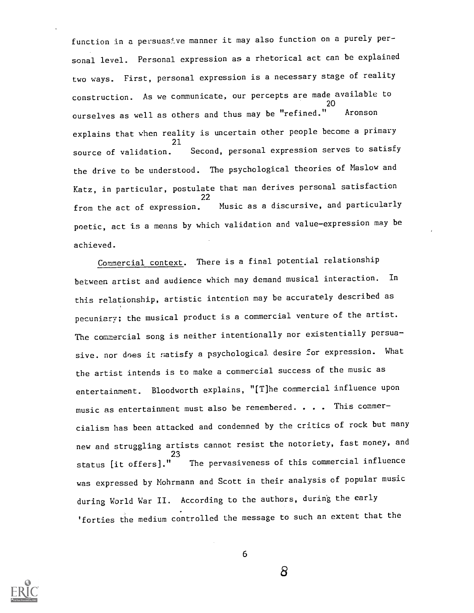function in a persuasive manner it may also function on a purely personal level. Personal expression as a rhetorical act can be explained two ways. First, personal expression is a necessary stage of reality construction. As we communicate, our percepts are made available to 20 ourselves as well as others and thus may be "refined." Aronson explains that when reality is uncertain other people become a primary 21 source of validation. Second, personal expression serves to satisfy the drive to be understood. The psychological theories of Maslow and Katz, in particular, postulate that man derives personal satisfaction 22 from the act of expression. Music as a discursive, and particularly poetic, act is a means by which validation and value-expression may be achieved.

Commercial context. There is a final potential relationship between artist and audience which may demand musical interaction. In this relationship, artistic intention may be accurately described as pecuniary; the musical product is a commercial venture of the artist. The commercial song is neither intentionally nor existentially persuasive. nor does it satisfy a psychological desire for expression. What the artist intends is to make a commercial success of the music as entertainment. Bloodworth explains, "[T]he commercial influence upon music as entertainment must also be remembered. . . . This commercialism has been attacked and condemned by the critics of rock but many new and struggling artists cannot resist the notoriety, fast money, and 23 status [it offers]." The pervasiveness of this commercial influence was expressed by Mohrmann and Scott in their analysis of popular music during World War II. According to the authors, during the early 'forties the medium controlled the message to such an extent that the



6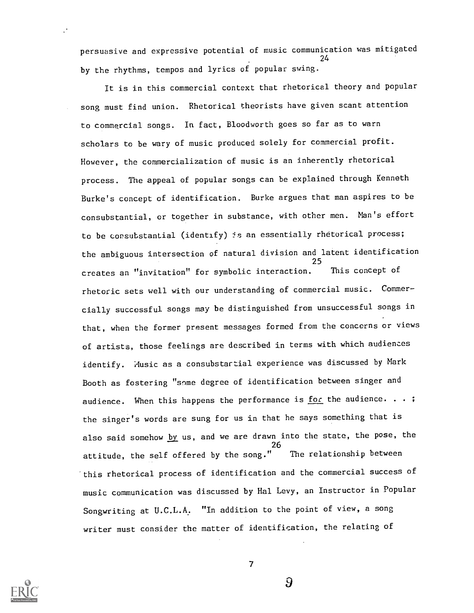persuasive and expressive potential of music communication was mitigated 24 by the rhythms, tempos and lyrics of popular swing.

It is in this commercial context that rhetorical theory and popular song must find union. Rhetorical theorists have given scant attention to commercial songs. In fact, Bloodworth goes so far as to warn scholars to be wary of music produced solely for commercial profit. However, the commercialization of music is an inherently rhetorical process. The appeal of popular songs can be explained through Kenneth Burke's concept of identification. Burke argues that man aspires to be consubstantial, or together in substance, with other men. Man's effort to be consubstantial (identify) js an essentially rhetorical process; the ambiguous intersection of natural division and latent identification 25<br>This concept of creates an "invitation" for symbolic interaction. rhetoric sets well with our understanding of commercial music. Commer cially successful songs may be distinguished from unsuccessful songs in that, when the former present messages formed from the concerns or views of artists, those feelings are described in terms with which audiences identify. Husic as a consubstartial experience was discussed by Mark Booth as fostering "some degree of identification between singer and audience. When this happens the performance is for the audience.  $\cdots$ ; the singer's words are sung for us in that he says something that is also said somehow by us, and we are drawn into the state, the pose, the 26 attitude, the self offered by the song." The relationship between this rhetorical process of identification and the commercial success of music communication was discussed by Hal Levy, an Instructor in Popular Songwriting at U.C.L.A. "In addition to the point of view, a song writer must consider the matter of identification, the relating of



7

 $\overline{9}$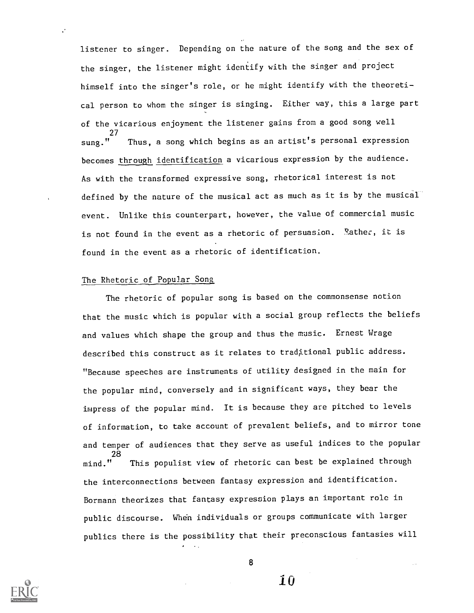listener to singer. Depending on the nature of the song and the sex of the singer, the listener might identify with the singer and project himself into the singer's role, or he might identify with the theoreti cal person to whom the singer is singing. Either way, this a large part of the vicarious enjoyment the listener gains from a good song well 27 sung." Thus, a song which begins as an artist's personal expression becomes through identification a vicarious expression by the audience. As with the transformed expressive song, rhetorical interest is not defined by the nature of the musical act as much as it is by the musical event. Unlike this counterpart, however, the value of commercial music is not found in the event as a rhetoric of persuasion. Rather, it is found in the event as a rhetoric of identification.

#### The Rhetoric of Popular Song

The rhetoric of popular song is based on the commonsense notion that the music which is popular with a social group reflects the beliefs and values which shape the group and thus the music. Ernest Wrage described this construct as it relates to traditional public address. "Because speeches are instruments of utility designed in the main for the popular mind, conversely and in significant ways, they bear the impress of the popular mind. It is because they are pitched to levels of information, to take account of prevalent beliefs, and to mirror tone and temper of audiences that they serve as useful indices to the popular 28 mind." This populist view of rhetoric can best be explained through the interconnections between fantasy expression and identification. Bormann theorizes that fantasy expression plays an important role in public discourse. When individuals or groups communicate with larger publics there is the possibility that their preconscious fantasies will



8

 $\hat{\bm{1}}\bm{0}$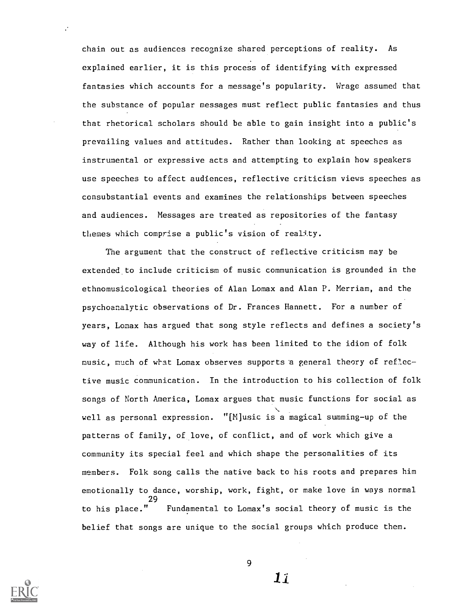chain out as audiences recognize shared perceptions of reality. As explained earlier, it is this process of identifying with expressed fantasies which accounts for a message's popularity. Wrage assumed that the substance of popular messages must reflect public fantasies and thus that rhetorical scholars should be able to gain insight into a public's prevailing values and attitudes. Rather than looking at speeches as instrumental or expressive acts and attempting to explain how speakers use speeches to affect audiences, reflective criticism views speeches as consubstantial events and examines the relationships between speeches and audiences. Messages are treated as repositories of the fantasy themes which comprise a public's vision of reality.

The argument that the construct of reflective criticism may be extended to include criticism of music communication is grounded in the ethnomusicological theories of Alan Lomax and Alan P. Merriam, and the psychoanalytic observations of Dr. Frances Hannett. For a number of years, Lomax has argued that song style reflects and defines a society's way of life. Although his work has been limited to the idiom of folk music, much of what Lomax observes supports a general theory of reflective music communication. In the introduction to his collection of folk songs of North America, Lomax argues that music functions for social as well as personal expression. "[M]usic is a magical summing-up of the patterns of family, of love, of conflict, and of work which give a community its special feel and which shape the personalities of its members. Folk song calls the native back to his roots and prepares him emotionally to dance, worship, work, fight, or make love in ways normal 29 to his place." Fundamental to Lomax's social theory of music is the belief that songs are unique to the social groups which produce them.



 $11$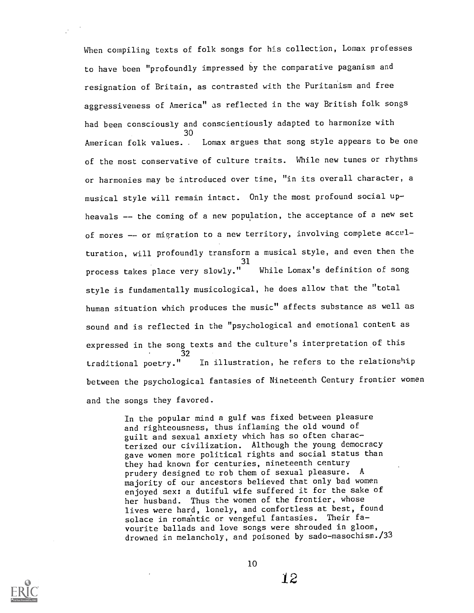When compiling texts of folk songs for his collection, Lomax professes to have been "profoundly impressed by the comparative paganism and resignation of Britain, as contrasted with the Puritanism and free aggressiveness of America" as reflected in the way British folk songs had been consciously and conscientiously adapted to harmonize with 30 American folk values. . Lomax argues that song style appears to be one of the most conservative of culture traits. While new tunes or rhythms or harmonies may be introduced over time, "in its overall character, a musical style will remain intact. Only the most profound social upheavals -- the coming of a new population, the acceptance of a new set of mores -- or migration to a new territory, involving complete acculturation, will profoundly transform a musical style, and even then the While Lomax's definition of song process takes place very slowly." style is fundamentally musicological, he does allow that the "total human situation which produces the music" affects substance as well as sound and is reflected in the "psychological and emotional content as expressed in the song texts and the culture's interpretation of this 32 traditional poetry." In illustration, he refers to the relationship between the psychological fantasies of Nineteenth Century frontier women and the songs they favored.

> In the popular mind a gulf was fixed between pleasure and righteousness, thus inflaming the old wound of guilt and sexual anxiety which has so often characterized our civilization. Although the young democracy gave women more political rights and social status than they had known for centuries, nineteenth century prudery designed to rob them of sexual pleasure. A majority of our ancestors believed that only bad women enjoyed sex: a dutiful wife suffered it for the sake of her husband. Thus the women of the frontier, whose lives were hard, lonely, and comfortless at best, found solace in romantic or vengeful fantasies. Their favourite ballads and love songs were shrouded in gloom, drowned in melancholy, and poisoned by sado-masochism./33

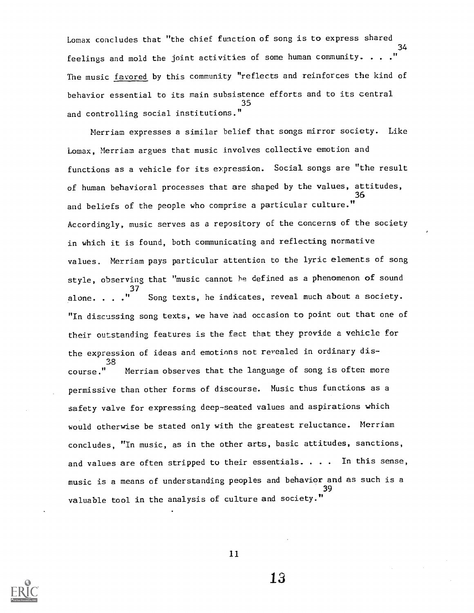Lomax concludes that "the chief function of song is to express shared 34 feelings and mold the joint activities of some human community.  $\dots$ ." The music favored by this community "reflects and reinforces the kind of behavior essential to its main subsistence efforts and to its central 35 and controlling social institutions."

Merriam expresses a similar belief that songs mirror society. Like Lomax, Merriam argues that music involves collective emotion and functions as a vehicle for its expression. Social songs are "the result of human behavioral processes that are shaped by the values, attitudes, 36 and beliefs of the people who comprise a particular culture." Accordingly, music serves as a repository of the concerns of the society in which it is found, both communicating and reflecting normative values. Merriam pays particular attention to the lyric elements of song style, observing that "music cannot he defined as a phenomenon of sound 37 alone. . . . " Song texts, he indicates, reveal much about a society. "In discussing song texts, we have had occasion to point out that one of their outstanding features is the fact that they provide a vehicle for the expression of ideas and emotions not revealed in ordinary dis-38 course." Merriam observes that the language of song is often more permissive than other forms of discourse. Music thus functions as a safety valve for expressing deep-seated values and aspirations which would otherwise be stated only with the greatest reluctance. Merriam concludes, "In music, as in the other arts, basic attitudes, sanctions, and values are often stripped to their essentials. . . . In this sense, music is a means of understanding peoples and behavior and as such is a valuable tool in the analysis of culture and society." 39

11

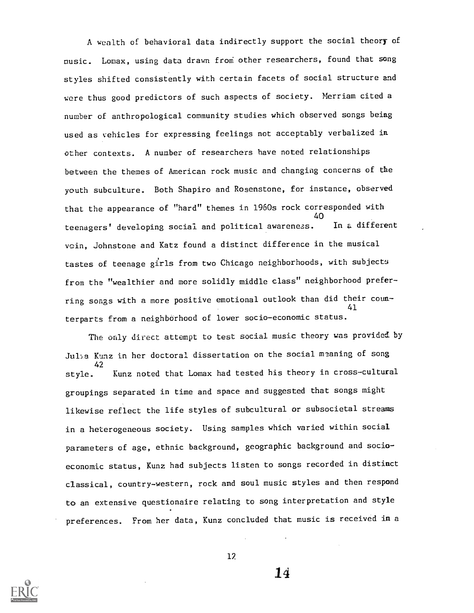A wealth of behavioral data indirectly support the social theory of music. Lomax, using data drawn from other researchers, found that song styles shifted consistently with certain facets of social structure and were thus good predictors of such aspects of society. Merriam cited a number of anthropological community studies which observed songs being used as vehicles for expressing feelings not acceptably verbalized in other contexts. A number of researchers have noted relationships between the themes of American rock music and changing concerns of the youth subculture. Both Shapiro and Rosenstone, for instance, observed that the appearance of "hard" themes in 1960s rock corresponded with 40 teenagers' developing social and political awareness. In a different vein, Johnstone and Katz found a distinct difference in the musical tastes of teenage girls from two Chicago neighborhoods, with subjects from the "wealthier and more solidly middle class" neighborhood preferring songs with a more positive emotional outlook than did their coun-41 terparts from a neighborhood of lower socio-economic status.

The only direct attempt to test social music theory was provided by Julia Kunz in her doctoral dissertation on the social meaning of song 42 style. Kunz noted that Lomax had tested his theory in cross-cultural groupings separated in time and space and suggested that songs might likewise reflect the life styles of subcultural or subsocietal streams in a heterogeneous society. Using samples which varied within social parameters of age, ethnic background, geographic background and socioeconomic status, Kunz had subjects listen to songs recorded in distinct classical, country-western, rock and soul music styles and then respond to an extensive questionaire relating to song interpretation and style preferences. From her data, Kunz concluded that music is received in a



12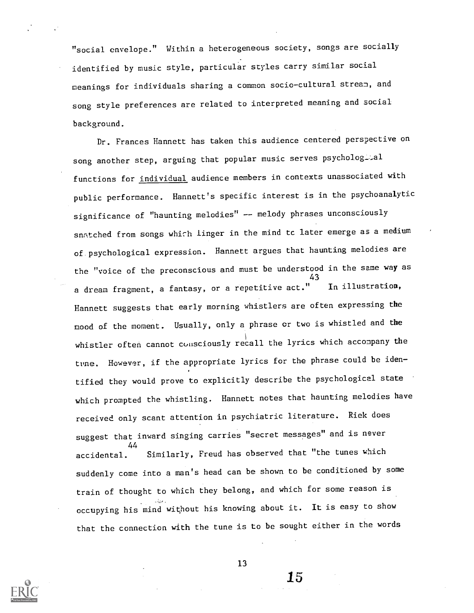"social envelope." Within a heterogeneous society, songs are socially identified by music style, particular styles carry similar social meanings for individuals sharing a common socio-cultural stream, and song style preferences are related to interpreted meaning and social background.

Dr. Frances Hannett has taken this audience centered perspective on song another step, arguing that popular music serves psychological functions for individual audience members in contexts unassociated with public performance. Hannett's specific interest is in the psychoanalytic significance of "haunting melodies" -- melody phrases unconsciously snatched from songs which linger in the mind tc later emerge as a medium of.psychological expression. Hannett argues that haunting melodies are the "voice of the preconscious and must be understood in the same way as 43 a dream fragment, a fantasy, or a repetitive act." In illustration, Hannett suggests that early morning whistlers are often expressing the mood of the moment. Usually, only a phrase or two is whistled and the whistler often cannot consciously recall the lyrics which accompany the tune. However, if the appropriate lyrics for the phrase could be identified they would prove to explicitly describe the psychological state which prompted the whistling. Hannett notes that haunting melodies have received only scant attention in psychiatric literature. Riek does suggest that inward singing carries "secret messages" and is never 44 accidental. Similarly, Freud has observed that "the tunes which suddenly come into a man's head can be shown to be conditioned by some train of thought to which they belong, and which for some reason is occupying his mind without his knowing about it. It is easy to show that the connection with the tune is to be sought either in the words



13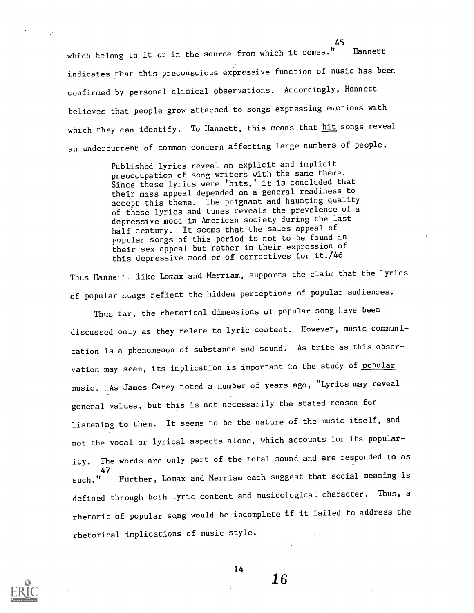Hannett which belong to it or in the source from which it comes." indicates that this preconscious expressive function of music has been confirmed by personal clinical observations. Accordingly, Hannett believes that people grow attached to songs expressing emotions with which they can identify. To Hannett, this means that hit songs reveal an undercurrent of common concern affecting large numbers of people.

> Published lyrics reveal an explicit and implicit preoccupation of song writers with the same theme. Since these lyrics were 'hits,' it is concluded that their mass appeal depended on a general readiness to accept this theme. The poignant and haunting quality of these lyrics and tunes reveals the prevalence of a depressive mood in American society during the last half century. It seems that the sales appeal of popular songs of this period is not to be found in their sex appeal but rather in their expression of this depressive mood or of correctives for it./46

Thus Hanne: Alike Lomax and Merriam, supports the claim that the lyrics of popular sangs reflect the hidden perceptions of popular audiences.

Thus far, the rhetorical dimensions of popular song have been discussed only as they relate to lyric content. However, music communication is a phenomenon of substance and sound. As trite as this observation may seem, its implication is important to the study of popular music. As James Carey noted a number of years ago, "Lyrics may reveal general values, but this is not necessarily the stated reason for listening to them. It seems to be the nature of the music itself, and not the vocal or lyrical aspects alone, which accounts for its popularity. The words are only part of the total sound and are responded to as 47 such." Further, Lomax and Merriam each suggest that social meaning is defined through both lyric content and musicological character. Thus, a rhetoric of popular song would be incomplete if it failed to address the rhetorical implications of music style.



16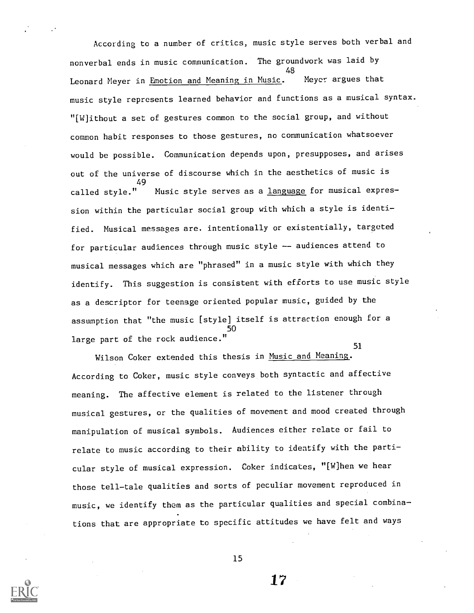According to a number of critics, music style serves both verbal and nonverbal ends in music communication. The groundwork was laid by Meyer argues that Leonard Meyer in Emotion and Meaning in Music. music style represents learned behavior and functions as a musical syntax. "[W]ithout a set of gestures common to the social group, and without common habit responses to those gestures, no communication whatsoever would be possible. Communication depends upon, presupposes, and arises out of the universe of discourse which in the aesthetics of music is 49 called style**."** Music style serves as a <u>language</u> for musical expres sion within the particular social group with which a style is identi fied. Musical messages are. intentionally or existentially, targeted for particular audiences through music style -- audiences attend to musical messages which are "phrased" in a music style with which they identify. This suggestion is consistent with efforts to use music style as a descriptor for teenage oriented popular music, guided by the assumption that "the music [style] itself is attraction enough for a 50 large part of the rock audience." 51

Wilson Coker extended this thesis in Music and Meaning. According to Coker, music style conveys both syntactic and affective meaning. The affective element is related to the listener through musical gestures, or the qualities of movement and mood created through manipulation of musical symbols. Audiences either relate or fail to relate to music according to their ability to identify with the parti cular style of musical expression. Coker indicates, "[W]hen we hear those tell-tale qualities and sorts of peculiar movement reproduced in music, we identify them as the particular qualities and special combina tions that are appropriate to specific attitudes we have felt and ways

15

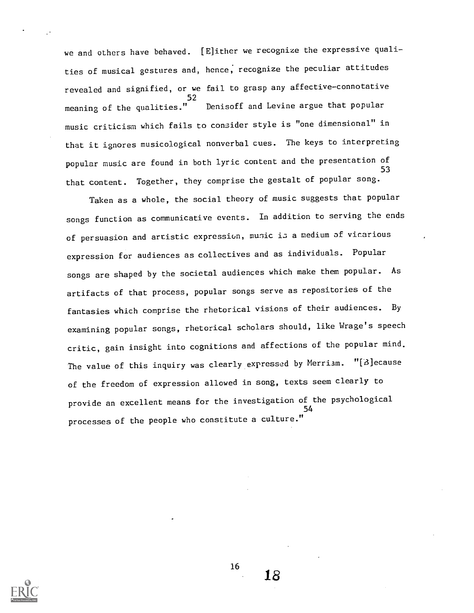we and others have behaved. [E]ither we recognize the expressive qualities of musical gestures and, hence, recognize the peculiar attitudes revealed and signified, or we fail to grasp any affective-connotative<br>52<br>meaning of the qualities." Denisoff and Levine argue that popular 52 meaning of the qualities." Denisoff and Levine argue that popular music criticism which fails to consider style is "one dimensional" in that it ignores musicological nonverbal cues. The keys to interpreting popular music are found in both lyric content and the presentation of 53 that content. Together, they comprise the gestalt of popular song.

Taken as a whole, the social theory of music suggests that popular songs function as communicative events. In addition to serving the ends of persuasion and artistic expression, music is a medium of vicarious expression for audiences as collectives and as individuals. Popular songs are shaped by the societal audiences which make them popular. As artifacts of that process, popular songs serve as repositories of the fantasies which comprise the rhetorical visions of their audiences. By examining popular songs, rhetorical scholars should, like Wrage's speech critic, gain insight into cognitions and affections of the popular mind. The value of this inquiry was clearly expressed by Merriam. "[3] ecause of the freedom of expression allowed in song, texts seem clearly to provide an excellent means for the investigation of the psychological 54 processes of the people who constitute a culture."



16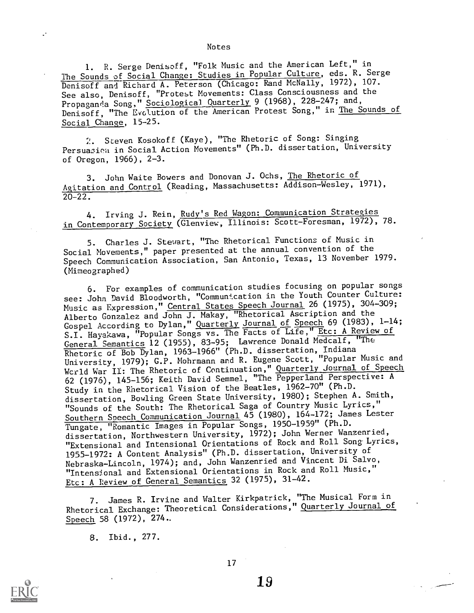#### Notes

1. R. Serge Denisoff, "Folk Music and the American Left," in The Sounds of Social Change: Studies in Popular Culture, eds. R. Serge Denisoff and Richard A. Peterson (Chicago: Rand McNally, 1972), 107. See also, Denisoff, "Protest Movements: Class Consciousness and the Propaganda Song," Sociological Quarterly 9 (1968), 228-247; and, Denisoff, "The Evolution of the American Protest Song," in The Sounds of Social Change, 15-25.

2. Steven Kosokoff (Kaye), "The Rhetoric of Song: Singing Persuasien in Social Action Movements" (Ph.D. dissertation, University of Oregon, 1966), 2-3.

3. John Waite Bowers and Donovan J. Ochs, The Rhetoric of Agitation and Control (Reading, Massachusetts: Addison-Wesley, 1971),  $20 - 22.$ 

4. Irving J. Rein, Rudy's Red Wagon: Communication Strategies in Contemporary Society (Glenview, Illinois: Scott-Foresman, 1972), 78.

5. Charles J. Stewart, "The Rhetorical Functions of Music in Social Movements," paper presented at the annual convention of the Speech Communication Association, San Antonio, Texas, 13 November 1979. (Mimeographed)

6. For examples of communication studies focusing on popular songs see: John David Bloodworth, "Communication in the Youth Counter Culture: Music as Expression," <u>Central States Speech Journal</u> 26 (1975), 304-309; Alberto Gonzalez and John J. Makay, "Rhetorical Ascription and the Gospel According to Dylan," Quarterly Journal of Speech 69 (1983), 1-14; S.I. Hayakawa, "Popular Songs vs. The Facts of Life," Etc: A Review of General Semantics 12 (1955), 83-95; Lawrence Donald Medcalf, "The Rhetoric of Bob Dylan, 1963-1966" (Ph.D. dissertation, Indiana University, 1979); G.P. Mohrmann and R. Eugene Scott, "Popular Music and World War II: The Rhetoric of Continuation," Quarterly Journal of Speech 62 (1976), 145-156; Keith David Semmel, "The Pepperland Perspective: A Study in the Rhetorical Vision of the Beatles, 1962-70" (Ph.D. dissertation, Bowling Green State University, 1980); Stephen A. Smith, "Sounds of the South: The Rhetorical Saga of Country Music Lyrics," Southern Speech Communication Journal 45 (1980), 164-172; James Lester Tungate, "Romantic Images in Popular Songs, 1950-1959" (Ph.D. dissertation, Northwestern University, 1972); John Werner Wanzenried, "Extensional and Intensional Orientations of Rock and Roll Song. Lyrics, 1955-1972: A Content Analysis" (Ph.D. dissertation, University of Nebraska-Lincoln, 1974); and, John Wanzenried and Vincent Di Salvo, " Intensional and Extensional Orientations in Rock and Roll Music," Etc: A Review of General Semantics 32 (1975), 31-42.

7. James R. Irvine and Walter Kirkpatrick, "The Musical Form in Rhetorical Exchange: Theoretical Considerations," Quarterly Journal of Speech 58 (1972), 274..

8. Ibid., 277.

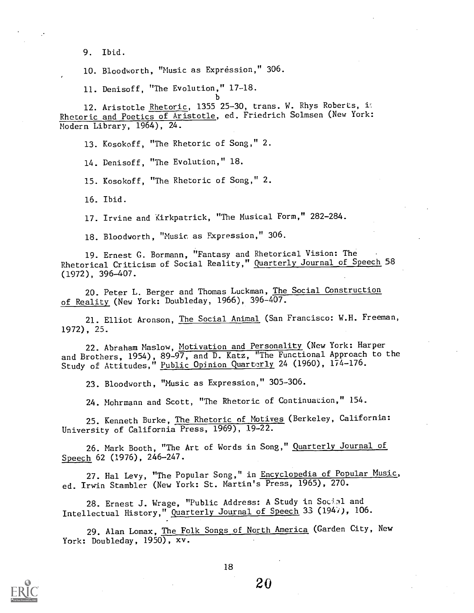9. Ibid.

10. Bloodworth, "Music as Expression," 306.

11. Denisoff, "The Evolution," 17-18.

b 12. Aristotle Rhetoric, 1355 25-30, trans. W. Rhys Roberts, Rhetoric and Poetics of Aristotle, ed. Friedrich Solmsen (New York: Modern Library, 1964), 24.

13. Kosokoff, "The Rhetoric of Song," 2.

14. Denisoff, "The Evolution," 18.

15. Kosokoff, "The Rhetoric of Song," 2.

16. Ibid.

17. Irvine and Kirkpatrick, "The Musical Form," 282-284.

18. Bloodworth, "Music as Expression," 306.

19. Ernest G. Bormann, "Fantasy and Rhetorical Vision: The Rhetorical Criticism of Social Reality," Quarterly Journal of Speech 58 (1972), 396-407.

20. Peter L. Berger and Thomas Luckman, The Social Construction of Reality (New York: Doubleday, 1966), 396-407.

21. Elliot Aronson, The Social Animal (San Francisco: W.H. Freeman, 1972), 25.

22. Abraham Maslow, Motivation and Personality (New York: Harper and Brothers, 1954), 89-97, and D. Katz, "The Functional Approach to the Study of Attitudes," <u>Public Opinion Quarterly</u> 24 (1960), 174-176.

23. Bloodworth, "Music as Expression," 305-306.

24. Mohrmann and Scott, "The Rhetoric of Continuation," 154.

25. Kenneth Burke, The Rhetoric of Motives (Berkeley, California: University of California Press, 1969), 19-22.

26. Mark Booth, "The Art of Words in Song," Quarterly Journal of Speech 62 (1976), 246-247.

27. Hal Levy, "The Popular Song," in Encyclopedia of Popular Music, ed. Irwin Stambler (New York: St. Martin's Press, 1965), 270.

28. Ernest J. Wrage, "Public Address: A Study in Social and Intellectual History," Quarterly Journal of Speech 33 (1947), 106.

29. Alan Lomax, The Folk Songs of North America (Garden City, New York: Doubleday, 1950), xv.

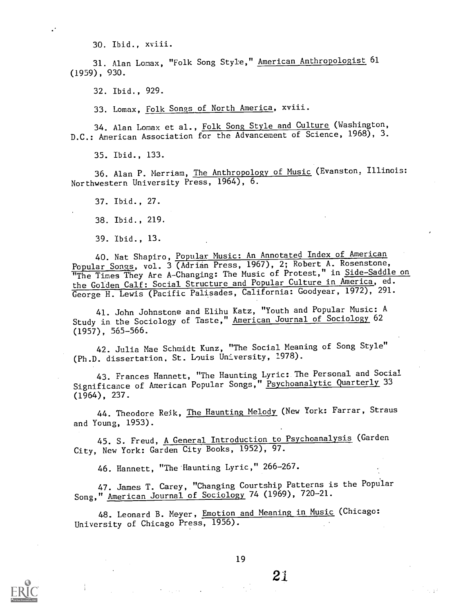30. Ibid., xviii.

 $\mathcal{C}$ 

31. Alan Lomax, "Folk Song Style," American Anthropologist 61 (1959), 930.

32. Ibid., 929.

33. Lomax, Folk Songs of North America, xviii.

34. Alan Lomax et al., Folk Song Style and Culture (Washington, D.C.: American Association for the Advancement of Science, 1968), 3.

35. Ibid., 133.

36. Alan P. Merriam, The Anthropology of Music (Evanston, Illinois: Northwestern University Press, 1964), 6.

37. Ibid., 27.

38. Ibid., 219.

39. Ibid., 13.

40. Nat Shapiro, Popular Music: An Annotated Index of American Popular Songs, vol. 3 (Adrian Press, 1967), 2; Robert A. Rosenstone, The Times They Are A-Changing: The Music of Protest," in Side-Saddle on the Golden Calf: Social Structure and Popular Culture in America, ed. George H. Lewis (Pacific Palisades, California: Goodyear, 1972), 291.

41. John Johnstone and Elihu Katz, "Youth and Popular Music: A Study in the Sociology of Taste," American Journal of Sociology 62 (1957), 565-566.

42. Julia Mae Schmidt Kunz, "The Social Meaning of Song Style" (Ph.D. dissertation, St. Louis University, 1978).

43. Frances Hannett, "The Haunting Lyric: The Personal and Social Significance of American Popular Songs," <u>Psychoanalytic Quarterly</u> 33 (1964), 237.

44. Theodore Reik, The Haunting Melody (New York: Farrar, Straus and Young, 1953).

45. S. Freud, A General Introduction to Psychoanalysis (Garden City, New York: Garden City Books, 1952), 97.

46. Hannett, "The 'Haunting Lyric," 266-267.

47. James T. Carey, "Changing Courtship Patterns is the Popular Song," American Journal of Sociology 74 (1969), 720-21.

48. Leonard B. Meyer, Emotion and Meaning in Music (Chicago: University of Chicago Press, 1956).



 $\sim 32$